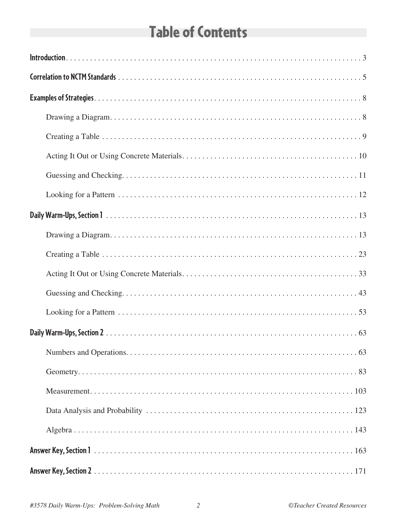# **Table of Contents**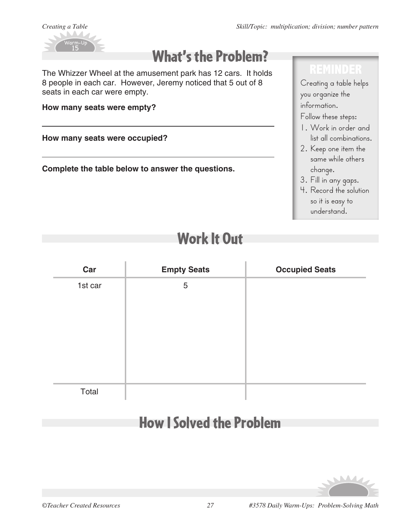

# What's the Problem?

The Whizzer Wheel at the amusement park has 12 cars. It holds 8 people in each car. However, Jeremy noticed that 5 out of 8 seats in each car were empty.

**How many seats were empty?** 

**How many seats were occupied?** 

**Complete the table below to answer the questions.**

## **REMINDER**

Creating a table helps you organize the information.

## Follow these steps:

- 1. Work in order and list all combinations.
- 2. Keep one item the same while others change.
- 3. Fill in any gaps.
- 4. Record the solution so it is easy to understand.

# Work It Out

| Car     | <b>Empty Seats</b> | <b>Occupied Seats</b> |
|---------|--------------------|-----------------------|
| 1st car | 5                  |                       |
|         |                    |                       |
|         |                    |                       |
|         |                    |                       |
|         |                    |                       |
|         |                    |                       |
|         |                    |                       |
| Total   |                    |                       |

# How I Solved the Problem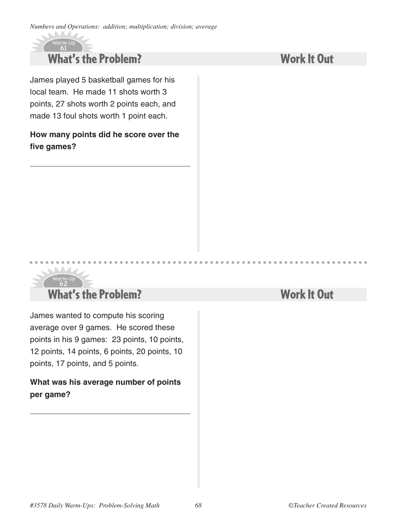*Numbers and Operations: addition; multiplication; division; average*

### What's the Problem? 61

 $-Up$ 

 $\sqrt{2}$ 

 $\mathcal{C}$ 

James played 5 basketball games for his local team. He made 11 shots worth 3 points, 27 shots worth 2 points each, and made 13 foul shots worth 1 point each.

## **How many points did he score over the five games?**

Work It Out

#### Warm-Up What's the Problem? 62

James wanted to compute his scoring average over 9 games. He scored these points in his 9 games: 23 points, 10 points, 12 points, 14 points, 6 points, 20 points, 10 points, 17 points, and 5 points.

## **What was his average number of points per game?**

## Work It Out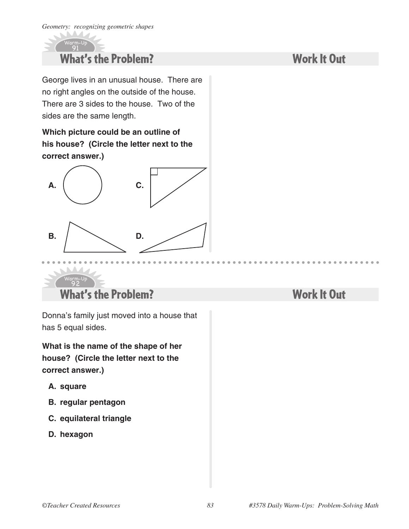Warm-Up

A

### What's the Problem? 91

George lives in an unusual house. There are no right angles on the outside of the house. There are 3 sides to the house. Two of the sides are the same length.

**Which picture could be an outline of his house? (Circle the letter next to the correct answer.)**



### What's the Problem? 92

Donna's family just moved into a house that has 5 equal sides.

**What is the name of the shape of her house? (Circle the letter next to the correct answer.)**

**A. square**

Warm-Up

- **B. regular pentagon**
- **C. equilateral triangle**
- **D. hexagon**

## Work It Out

## Work It Out